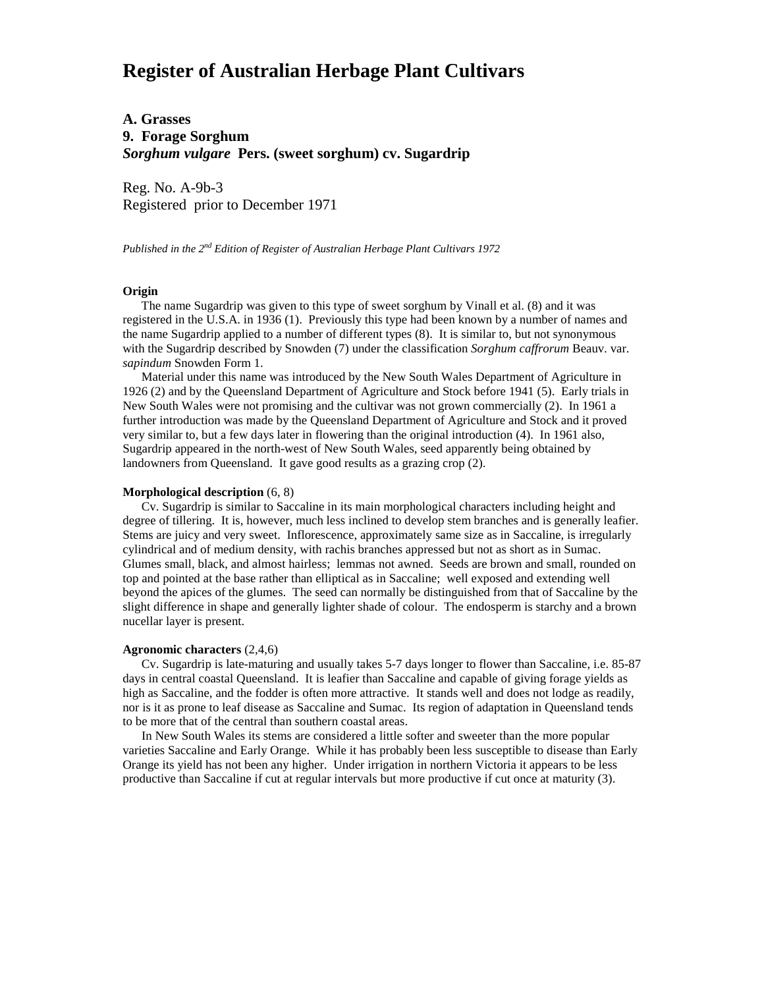# **Register of Australian Herbage Plant Cultivars**

**A. Grasses 9. Forage Sorghum** *Sorghum vulgare* **Pers. (sweet sorghum) cv. Sugardrip**

Reg. No. A-9b-3 Registered prior to December 1971

*Published in the 2nd Edition of Register of Australian Herbage Plant Cultivars 1972*

## **Origin**

 The name Sugardrip was given to this type of sweet sorghum by Vinall et al. (8) and it was registered in the U.S.A. in 1936 (1). Previously this type had been known by a number of names and the name Sugardrip applied to a number of different types (8). It is similar to, but not synonymous with the Sugardrip described by Snowden (7) under the classification *Sorghum caffrorum* Beauv. var. *sapindum* Snowden Form 1.

 Material under this name was introduced by the New South Wales Department of Agriculture in 1926 (2) and by the Queensland Department of Agriculture and Stock before 1941 (5). Early trials in New South Wales were not promising and the cultivar was not grown commercially (2). In 1961 a further introduction was made by the Queensland Department of Agriculture and Stock and it proved very similar to, but a few days later in flowering than the original introduction (4). In 1961 also, Sugardrip appeared in the north-west of New South Wales, seed apparently being obtained by landowners from Queensland. It gave good results as a grazing crop (2).

# **Morphological description** (6, 8)

 Cv. Sugardrip is similar to Saccaline in its main morphological characters including height and degree of tillering. It is, however, much less inclined to develop stem branches and is generally leafier. Stems are juicy and very sweet. Inflorescence, approximately same size as in Saccaline, is irregularly cylindrical and of medium density, with rachis branches appressed but not as short as in Sumac. Glumes small, black, and almost hairless; lemmas not awned. Seeds are brown and small, rounded on top and pointed at the base rather than elliptical as in Saccaline; well exposed and extending well beyond the apices of the glumes. The seed can normally be distinguished from that of Saccaline by the slight difference in shape and generally lighter shade of colour. The endosperm is starchy and a brown nucellar layer is present.

#### **Agronomic characters** (2,4,6)

 Cv. Sugardrip is late-maturing and usually takes 5-7 days longer to flower than Saccaline, i.e. 85-87 days in central coastal Queensland. It is leafier than Saccaline and capable of giving forage yields as high as Saccaline, and the fodder is often more attractive. It stands well and does not lodge as readily, nor is it as prone to leaf disease as Saccaline and Sumac. Its region of adaptation in Queensland tends to be more that of the central than southern coastal areas.

 In New South Wales its stems are considered a little softer and sweeter than the more popular varieties Saccaline and Early Orange. While it has probably been less susceptible to disease than Early Orange its yield has not been any higher. Under irrigation in northern Victoria it appears to be less productive than Saccaline if cut at regular intervals but more productive if cut once at maturity (3).